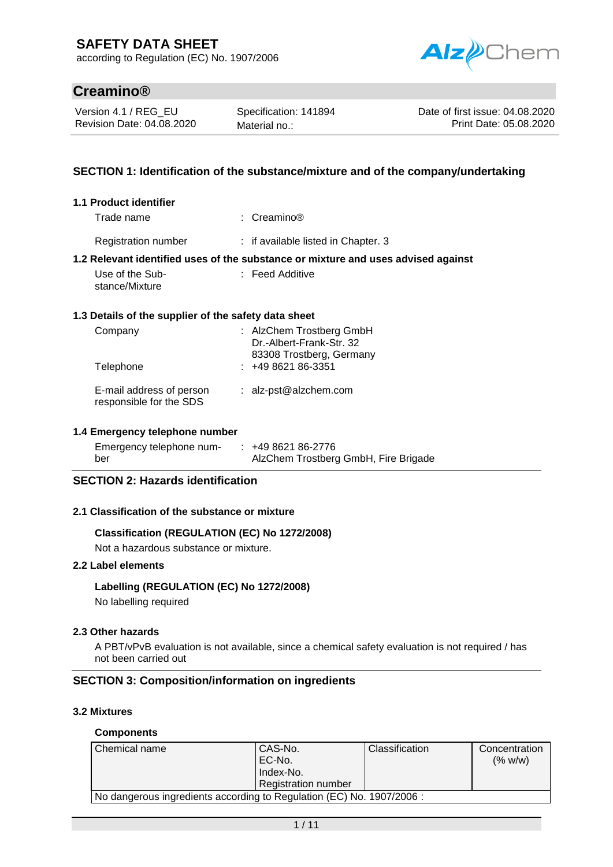according to Regulation (EC) No. 1907/2006



# **Creamino®**

Version 4.1 / REG\_EU Revision Date: 04.08.2020

Specification: 141894 Material no.:

Date of first issue: 04.08.2020 Print Date: 05.08.2020

### **SECTION 1: Identification of the substance/mixture and of the company/undertaking**

| 1.1 Product identifier                               |                                                                                   |
|------------------------------------------------------|-----------------------------------------------------------------------------------|
| Trade name                                           | : $C$ reamino®                                                                    |
| <b>Registration number</b>                           | : if available listed in Chapter. 3                                               |
|                                                      | 1.2 Relevant identified uses of the substance or mixture and uses advised against |
| Use of the Sub-<br>stance/Mixture                    | : Feed Additive                                                                   |
| 1.3 Details of the supplier of the safety data sheet |                                                                                   |
| Company                                              | : AlzChem Trostberg GmbH<br>Dr.-Albert-Frank-Str. 32<br>83308 Trostberg, Germany  |
| Telephone                                            | $: 49862186-3351$                                                                 |
| E-mail address of person<br>responsible for the SDS  | : alz-pst@alzchem.com                                                             |

#### **1.4 Emergency telephone number**

| Emergency telephone num- | $: 49862186-2776$                    |
|--------------------------|--------------------------------------|
| ber                      | AlzChem Trostberg GmbH, Fire Brigade |

### **SECTION 2: Hazards identification**

#### **2.1 Classification of the substance or mixture**

### **Classification (REGULATION (EC) No 1272/2008)**

Not a hazardous substance or mixture.

### **2.2 Label elements**

#### **Labelling (REGULATION (EC) No 1272/2008)**

No labelling required

#### **2.3 Other hazards**

A PBT/vPvB evaluation is not available, since a chemical safety evaluation is not required / has not been carried out

#### **SECTION 3: Composition/information on ingredients**

#### **3.2 Mixtures**

#### **Components**

| Chemical name                                                         | CAS-No.<br>EC-No.<br>Index-No.<br><b>Registration number</b> | Classification | Concentration<br>(% w/w) |
|-----------------------------------------------------------------------|--------------------------------------------------------------|----------------|--------------------------|
| No dangerous ingredients according to Regulation (EC) No. 1907/2006 : |                                                              |                |                          |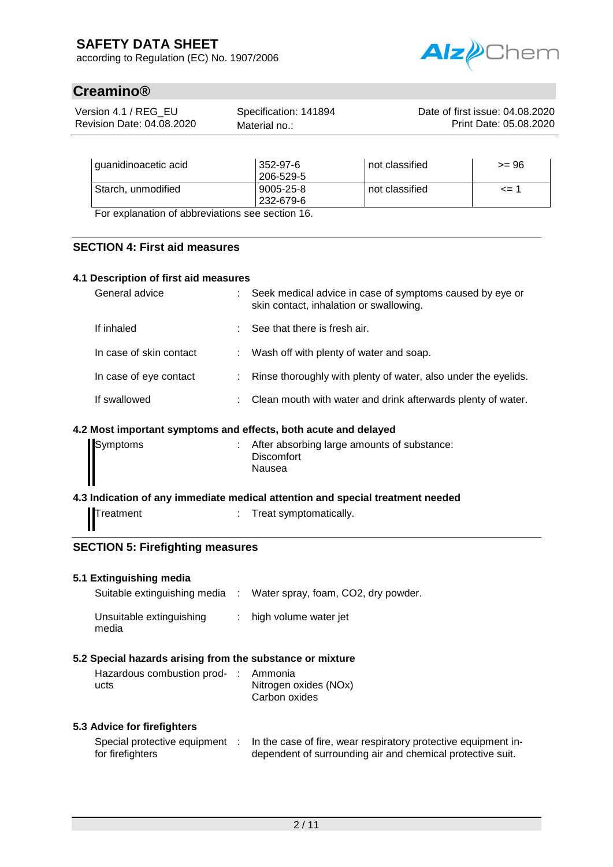according to Regulation (EC) No. 1907/2006



# **Creamino®**

| Version 4.1 / REG EU      | Specification: 141894 | Date of first issue: 04.08.2020 |
|---------------------------|-----------------------|---------------------------------|
| Revision Date: 04.08.2020 | Material no.:         | Print Date: 05.08.2020          |
|                           |                       |                                 |

| I guanidinoacetic acid                         | 352-97-6<br>206-529-5 | not classified | >= 96    |
|------------------------------------------------|-----------------------|----------------|----------|
| Starch, unmodified                             | $9005 - 25 - 8$       | not classified | $\leq$ 1 |
| For evaluation of abbrovistions see section 16 | 232-679-6             |                |          |

For explanation of abbreviations see section 16.

### **SECTION 4: First aid measures**

### **4.1 Description of first aid measures**

| General advice          | : Seek medical advice in case of symptoms caused by eye or<br>skin contact, inhalation or swallowing. |
|-------------------------|-------------------------------------------------------------------------------------------------------|
| If inhaled              | $\therefore$ See that there is fresh air.                                                             |
| In case of skin contact | : Wash off with plenty of water and soap.                                                             |
| In case of eye contact  | : Rinse thoroughly with plenty of water, also under the eyelids.                                      |
| If swallowed            | : Clean mouth with water and drink afterwards plenty of water.                                        |

### **4.2 Most important symptoms and effects, both acute and delayed**

| Symptoms | After absorbing large amounts of substance:<br><b>Discomfort</b><br>Nausea |
|----------|----------------------------------------------------------------------------|
|          |                                                                            |

#### **4.3 Indication of any immediate medical attention and special treatment needed**

Treatment : Treat symptomatically.

### **SECTION 5: Firefighting measures**

#### **5.1 Extinguishing media**

media

| Suitable extinguishing media | Water spray, foam, CO2, dry powder. |
|------------------------------|-------------------------------------|
| Unsuitable extinguishing     | : high volume water jet             |

## **5.2 Special hazards arising from the substance or mixture**

| Hazardous combustion prod- : Ammonia |                       |
|--------------------------------------|-----------------------|
| ucts                                 | Nitrogen oxides (NOx) |
|                                      | Carbon oxides         |

### **5.3 Advice for firefighters**

| Special protective equipment | In the case of fire, wear respiratory protective equipment in- |
|------------------------------|----------------------------------------------------------------|
| for firefighters             | dependent of surrounding air and chemical protective suit.     |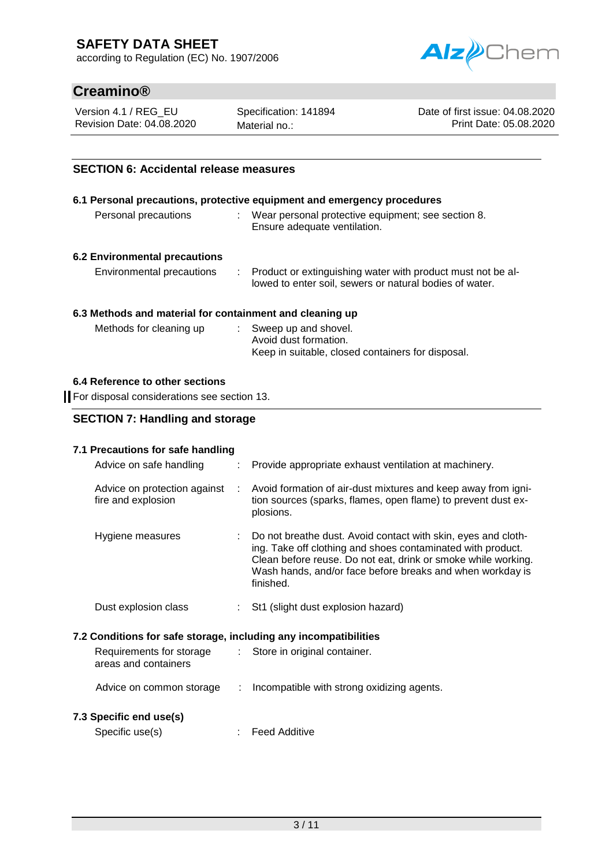according to Regulation (EC) No. 1907/2006



# **Creamino®**

Version 4.1 / REG\_EU Revision Date: 04.08.2020 Specification: 141894 Material no.:

Date of first issue: 04.08.2020 Print Date: 05.08.2020

### **SECTION 6: Accidental release measures**

|                               | 6.1 Personal precautions, protective equipment and emergency procedures                                                  |
|-------------------------------|--------------------------------------------------------------------------------------------------------------------------|
| Personal precautions          | Wear personal protective equipment; see section 8.<br>Ensure adequate ventilation.                                       |
| 6.2 Environmental precautions |                                                                                                                          |
| Environmental precautions     | : Product or extinguishing water with product must not be al-<br>lowed to enter soil, sewers or natural bodies of water. |

### **6.3 Methods and material for containment and cleaning up**

| Methods for cleaning up | : Sweep up and shovel.                            |
|-------------------------|---------------------------------------------------|
|                         | Avoid dust formation.                             |
|                         | Keep in suitable, closed containers for disposal. |

### **6.4 Reference to other sections**

For disposal considerations see section 13.

### **SECTION 7: Handling and storage**

### **7.1 Precautions for safe handling**

|                                                                  | Advice on safe handling                            |             | : Provide appropriate exhaust ventilation at machinery.                                                                                                                                                                                                                   |
|------------------------------------------------------------------|----------------------------------------------------|-------------|---------------------------------------------------------------------------------------------------------------------------------------------------------------------------------------------------------------------------------------------------------------------------|
|                                                                  | Advice on protection against<br>fire and explosion | $\sim 10^7$ | Avoid formation of air-dust mixtures and keep away from igni-<br>tion sources (sparks, flames, open flame) to prevent dust ex-<br>plosions.                                                                                                                               |
|                                                                  | Hygiene measures                                   |             | : Do not breathe dust. Avoid contact with skin, eyes and cloth-<br>ing. Take off clothing and shoes contaminated with product.<br>Clean before reuse. Do not eat, drink or smoke while working.<br>Wash hands, and/or face before breaks and when workday is<br>finished. |
|                                                                  | Dust explosion class                               |             | : St1 (slight dust explosion hazard)                                                                                                                                                                                                                                      |
| 7.2 Conditions for safe storage, including any incompatibilities |                                                    |             |                                                                                                                                                                                                                                                                           |
|                                                                  | Requirements for storage<br>areas and containers   |             | : Store in original container.                                                                                                                                                                                                                                            |
|                                                                  | Advice on common storage                           | t.          | Incompatible with strong oxidizing agents.                                                                                                                                                                                                                                |
|                                                                  | 7.3 Specific end use(s)                            |             |                                                                                                                                                                                                                                                                           |
|                                                                  |                                                    |             |                                                                                                                                                                                                                                                                           |

| Specific use(s) |  | <b>Feed Additive</b> |
|-----------------|--|----------------------|
|-----------------|--|----------------------|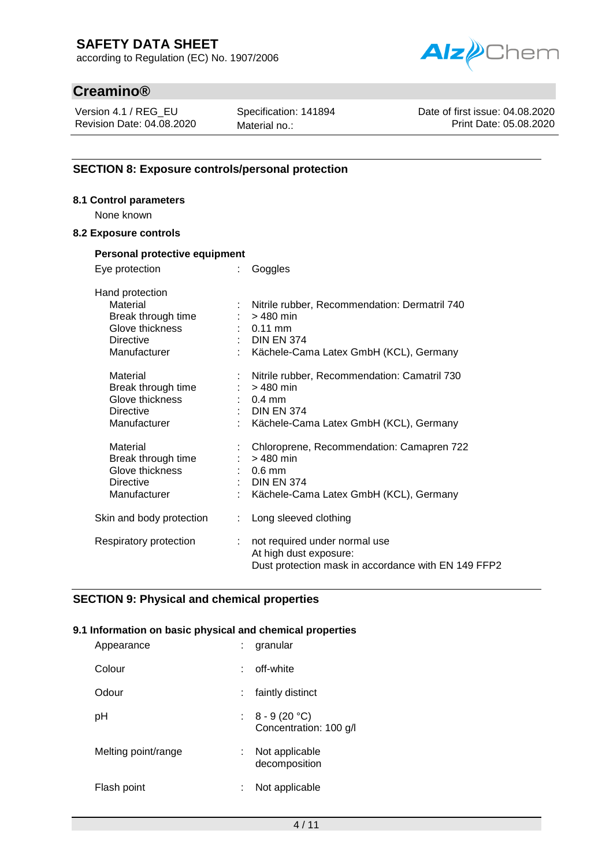according to Regulation (EC) No. 1907/2006



# **Creamino®**

Version 4.1 / REG\_EU Revision Date: 04.08.2020 Specification: 141894 Material no.:

Date of first issue: 04.08.2020 Print Date: 05.08.2020

### **SECTION 8: Exposure controls/personal protection**

### **8.1 Control parameters**

None known

### **8.2 Exposure controls**

| Personal protective equipment                                                         |                                                                                                                                                           |  |  |  |
|---------------------------------------------------------------------------------------|-----------------------------------------------------------------------------------------------------------------------------------------------------------|--|--|--|
| Eye protection                                                                        | Goggles                                                                                                                                                   |  |  |  |
| Hand protection<br>Material<br>÷<br>Break through time                                | Nitrile rubber, Recommendation: Dermatril 740<br>$:$ > 480 min                                                                                            |  |  |  |
| Glove thickness<br><b>Directive</b><br>Manufacturer                                   | $: 0.11$ mm<br>$\therefore$ DIN EN 374<br>Kächele-Cama Latex GmbH (KCL), Germany                                                                          |  |  |  |
| Material<br>Break through time<br>Glove thickness<br><b>Directive</b><br>Manufacturer | Nitrile rubber, Recommendation: Camatril 730<br>$:$ > 480 min<br>$\therefore$ 0.4 mm<br>$\therefore$ DIN EN 374<br>Kächele-Cama Latex GmbH (KCL), Germany |  |  |  |
| Material<br>Break through time<br>Glove thickness<br><b>Directive</b><br>Manufacturer | Chloroprene, Recommendation: Camapren 722<br>$:$ > 480 min<br>$\therefore$ 0.6 mm<br>$\therefore$ DIN EN 374<br>Kächele-Cama Latex GmbH (KCL), Germany    |  |  |  |
| Skin and body protection<br>t.                                                        | Long sleeved clothing                                                                                                                                     |  |  |  |
| Respiratory protection<br>÷.                                                          | not required under normal use<br>At high dust exposure:<br>Dust protection mask in accordance with EN 149 FFP2                                            |  |  |  |

### **SECTION 9: Physical and chemical properties**

### **9.1 Information on basic physical and chemical properties**

| Appearance          | granular<br>÷.                             |
|---------------------|--------------------------------------------|
| Colour              | off-white                                  |
| Odour               | faintly distinct                           |
| pН                  | : $8 - 9(20 °C)$<br>Concentration: 100 g/l |
| Melting point/range | Not applicable<br>t.<br>decomposition      |
| Flash point         | Not applicable                             |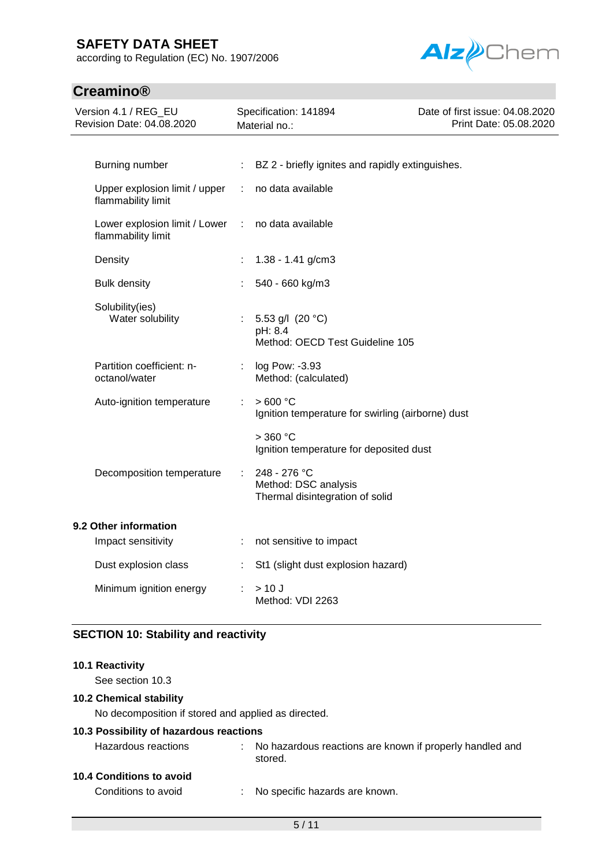according to Regulation (EC) No. 1907/2006



# **Creamino®**

| Version 4.1 / REG_EU<br>Revision Date: 04.08.2020   |   | Specification: 141894<br>Material no.:                                  | Date of first issue: 04.08.2020<br>Print Date: 05.08.2020 |  |
|-----------------------------------------------------|---|-------------------------------------------------------------------------|-----------------------------------------------------------|--|
| Burning number                                      | ÷ | BZ 2 - briefly ignites and rapidly extinguishes.                        |                                                           |  |
|                                                     |   |                                                                         |                                                           |  |
| Upper explosion limit / upper<br>flammability limit | ÷ | no data available                                                       |                                                           |  |
| Lower explosion limit / Lower<br>flammability limit | ÷ | no data available                                                       |                                                           |  |
| Density                                             |   | $1.38 - 1.41$ g/cm3                                                     |                                                           |  |
| <b>Bulk density</b>                                 |   | 540 - 660 kg/m3                                                         |                                                           |  |
| Solubility(ies)<br>Water solubility                 |   | 5.53 g/l (20 °C)<br>pH: 8.4<br>Method: OECD Test Guideline 105          |                                                           |  |
| Partition coefficient: n-<br>octanol/water          |   | log Pow: -3.93<br>Method: (calculated)                                  |                                                           |  |
| Auto-ignition temperature                           | ÷ | >600 °C<br>Ignition temperature for swirling (airborne) dust            |                                                           |  |
|                                                     |   | $>$ 360 °C<br>Ignition temperature for deposited dust                   |                                                           |  |
| Decomposition temperature                           |   | 248 - 276 °C<br>Method: DSC analysis<br>Thermal disintegration of solid |                                                           |  |
| 9.2 Other information                               |   |                                                                         |                                                           |  |
| Impact sensitivity                                  | ÷ | not sensitive to impact                                                 |                                                           |  |
| Dust explosion class                                |   | St1 (slight dust explosion hazard)                                      |                                                           |  |
| Minimum ignition energy                             |   | > 10 J<br>Method: VDI 2263                                              |                                                           |  |

# **SECTION 10: Stability and reactivity**

#### **10.1 Reactivity**

See section 10.3

### **10.2 Chemical stability**

No decomposition if stored and applied as directed.

### **10.3 Possibility of hazardous reactions**

| Hazardous reactions | : No hazardous reactions are known if properly handled and<br>stored. |
|---------------------|-----------------------------------------------------------------------|
|                     |                                                                       |

# **10.4 Conditions to avoid**

Conditions to avoid : No specific hazards are known.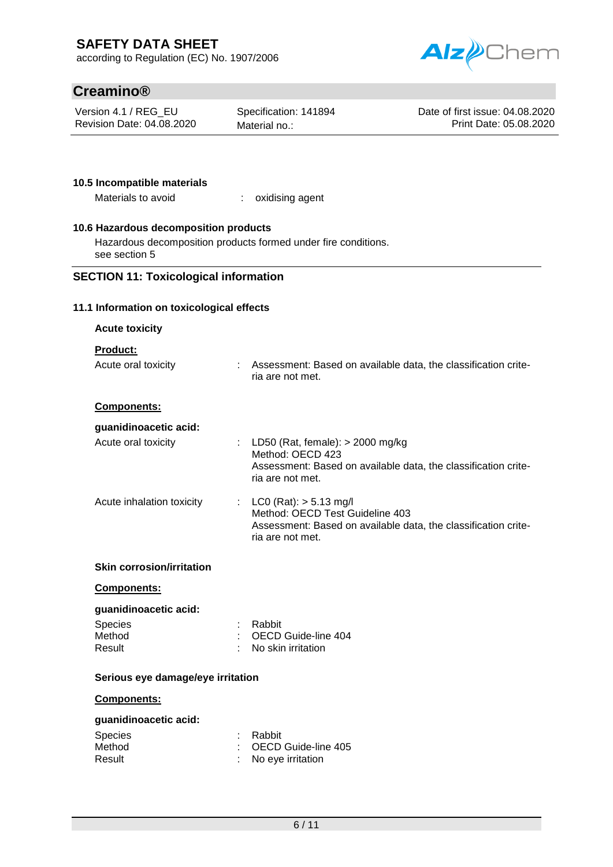according to Regulation (EC) No. 1907/2006



# **Creamino®**

Version 4.1 / REG\_EU Revision Date: 04.08.2020 Specification: 141894 Material no.:

Date of first issue: 04.08.2020 Print Date: 05.08.2020

### **10.5 Incompatible materials**

Materials to avoid : oxidising agent

### **10.6 Hazardous decomposition products**

Hazardous decomposition products formed under fire conditions. see section 5

### **SECTION 11: Toxicological information**

#### **11.1 Information on toxicological effects**

| <b>Acute toxicity</b>                                       |  |                                                                                                                                                     |  |  |
|-------------------------------------------------------------|--|-----------------------------------------------------------------------------------------------------------------------------------------------------|--|--|
| <b>Product:</b>                                             |  |                                                                                                                                                     |  |  |
| Acute oral toxicity                                         |  | : Assessment: Based on available data, the classification crite-<br>ria are not met.                                                                |  |  |
| Components:                                                 |  |                                                                                                                                                     |  |  |
| guanidinoacetic acid:                                       |  |                                                                                                                                                     |  |  |
| Acute oral toxicity                                         |  | : LD50 (Rat, female): $>$ 2000 mg/kg<br>Method: OECD 423<br>Assessment: Based on available data, the classification crite-<br>ria are not met.      |  |  |
| Acute inhalation toxicity                                   |  | : LC0 (Rat): $> 5.13$ mg/l<br>Method: OECD Test Guideline 403<br>Assessment: Based on available data, the classification crite-<br>ria are not met. |  |  |
| <b>Skin corrosion/irritation</b>                            |  |                                                                                                                                                     |  |  |
| Components:                                                 |  |                                                                                                                                                     |  |  |
| guanidinoacetic acid:                                       |  |                                                                                                                                                     |  |  |
| <b>Species</b><br>Method                                    |  | : Rabbit<br>: OECD Guide-line 404                                                                                                                   |  |  |
| Result                                                      |  | No skin irritation                                                                                                                                  |  |  |
| Serious eye damage/eye irritation                           |  |                                                                                                                                                     |  |  |
| Components:                                                 |  |                                                                                                                                                     |  |  |
| guanidinoacetic acid:<br><b>Species</b><br>Method<br>Result |  | Rabbit<br>OECD Guide-line 405<br>No eye irritation                                                                                                  |  |  |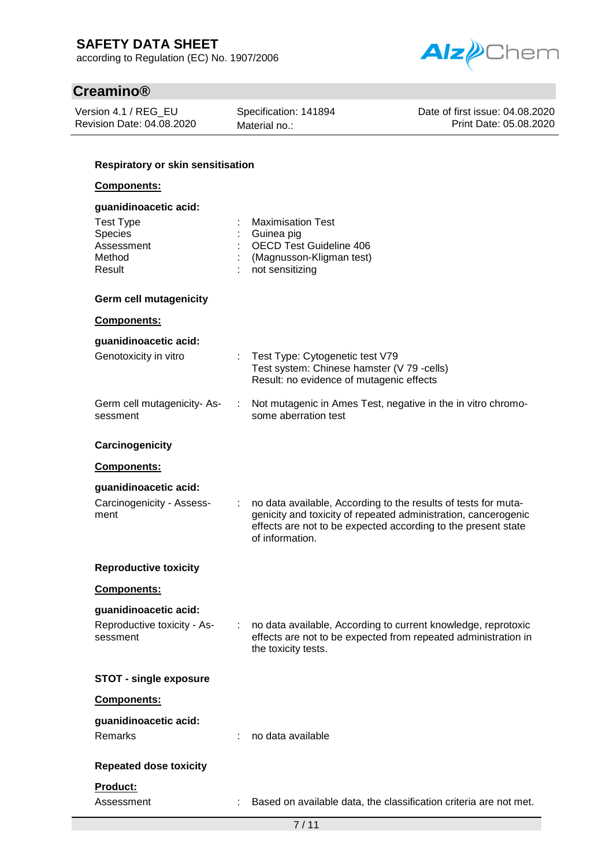according to Regulation (EC) No. 1907/2006



# **Creamino®**

| Version 4.1 / REG_EU      |  |
|---------------------------|--|
| Revision Date: 04.08.2020 |  |

Specification: 141894 Material no.:

Date of first issue: 04.08.2020 Print Date: 05.08.2020

### **Respiratory or skin sensitisation**

### **Components:**

| guanidinoacetic acid:                                         |    |                                                                                                                                                                                                                      |
|---------------------------------------------------------------|----|----------------------------------------------------------------------------------------------------------------------------------------------------------------------------------------------------------------------|
| <b>Test Type</b><br>Species<br>Assessment<br>Method<br>Result |    | <b>Maximisation Test</b><br>Guinea pig<br><b>OECD Test Guideline 406</b><br>(Magnusson-Kligman test)<br>not sensitizing                                                                                              |
| <b>Germ cell mutagenicity</b>                                 |    |                                                                                                                                                                                                                      |
| <b>Components:</b>                                            |    |                                                                                                                                                                                                                      |
| guanidinoacetic acid:                                         |    |                                                                                                                                                                                                                      |
| Genotoxicity in vitro                                         |    | Test Type: Cytogenetic test V79<br>Test system: Chinese hamster (V 79 -cells)<br>Result: no evidence of mutagenic effects                                                                                            |
| Germ cell mutagenicity-As-<br>sessment                        | ÷  | Not mutagenic in Ames Test, negative in the in vitro chromo-<br>some aberration test                                                                                                                                 |
| Carcinogenicity                                               |    |                                                                                                                                                                                                                      |
| Components:                                                   |    |                                                                                                                                                                                                                      |
| guanidinoacetic acid:                                         |    |                                                                                                                                                                                                                      |
| Carcinogenicity - Assess-<br>ment                             |    | no data available, According to the results of tests for muta-<br>genicity and toxicity of repeated administration, cancerogenic<br>effects are not to be expected according to the present state<br>of information. |
| <b>Reproductive toxicity</b>                                  |    |                                                                                                                                                                                                                      |
| <b>Components:</b>                                            |    |                                                                                                                                                                                                                      |
| guanidinoacetic acid:                                         |    |                                                                                                                                                                                                                      |
| Reproductive toxicity - As-<br>sessment                       | ÷. | no data available, According to current knowledge, reprotoxic<br>effects are not to be expected from repeated administration in<br>the toxicity tests.                                                               |
| <b>STOT - single exposure</b>                                 |    |                                                                                                                                                                                                                      |
| Components:                                                   |    |                                                                                                                                                                                                                      |
| guanidinoacetic acid:<br>Remarks                              |    | no data available                                                                                                                                                                                                    |
| <b>Repeated dose toxicity</b>                                 |    |                                                                                                                                                                                                                      |
| Product:<br>Assessment                                        |    | Based on available data, the classification criteria are not met.                                                                                                                                                    |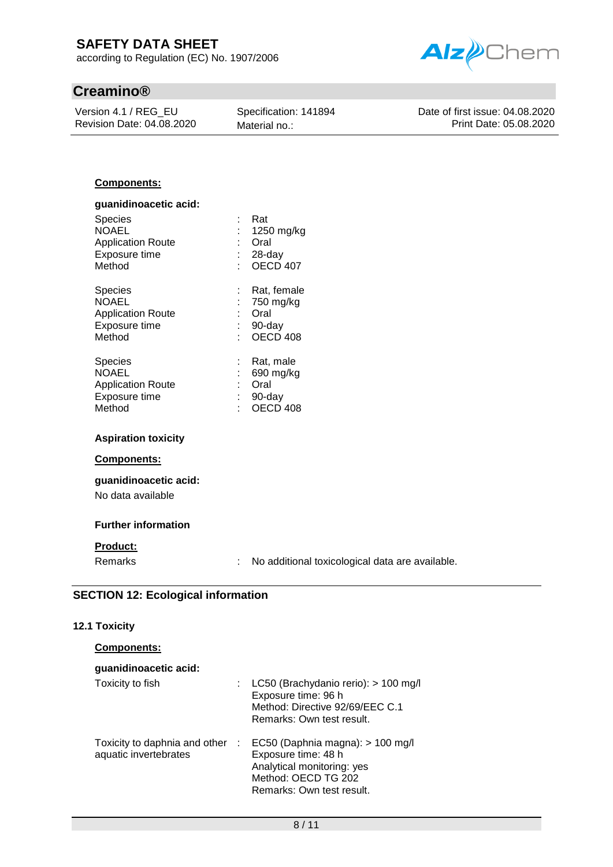according to Regulation (EC) No. 1907/2006

# **Creamino®**

Version 4.1 / REG\_EU Revision Date: 04.08.2020 Specification: 141894 Material no.:



Date of first issue: 04.08.2020 Print Date: 05.08.2020

### **Components:**

| guanidinoacetic acid:                                                                 |   |                                                                   |
|---------------------------------------------------------------------------------------|---|-------------------------------------------------------------------|
| <b>Species</b><br><b>NOAEL</b><br><b>Application Route</b><br>Exposure time<br>Method |   | Rat<br>1250 mg/kg<br>Oral<br>28-day<br><b>OECD 407</b>            |
| <b>Species</b><br><b>NOAEL</b><br><b>Application Route</b><br>Exposure time<br>Method |   | Rat, female<br>750 mg/kg<br>Oral<br>90-day<br>OECD <sub>408</sub> |
| Species<br><b>NOAEL</b><br><b>Application Route</b><br>Exposure time<br>Method        | t | Rat, male<br>690 mg/kg<br>Oral<br>90-day<br>OECD 408              |

#### **Aspiration toxicity**

#### **Components:**

### **guanidinoacetic acid:** No data available

### **Further information**

### **Product:**

Remarks : No additional toxicological data are available.

### **SECTION 12: Ecological information**

#### **12.1 Toxicity**

| <b>Components:</b> |  |
|--------------------|--|
|                    |  |

| guanidinoacetic acid: |                                                                                                                                                                           |
|-----------------------|---------------------------------------------------------------------------------------------------------------------------------------------------------------------------|
| Toxicity to fish      | : LC50 (Brachydanio rerio): $> 100$ mg/l<br>Exposure time: 96 h<br>Method: Directive 92/69/EEC C.1<br>Remarks: Own test result.                                           |
| aquatic invertebrates | Toxicity to daphnia and other : EC50 (Daphnia magna): > 100 mg/l<br>Exposure time: 48 h<br>Analytical monitoring: yes<br>Method: OECD TG 202<br>Remarks: Own test result. |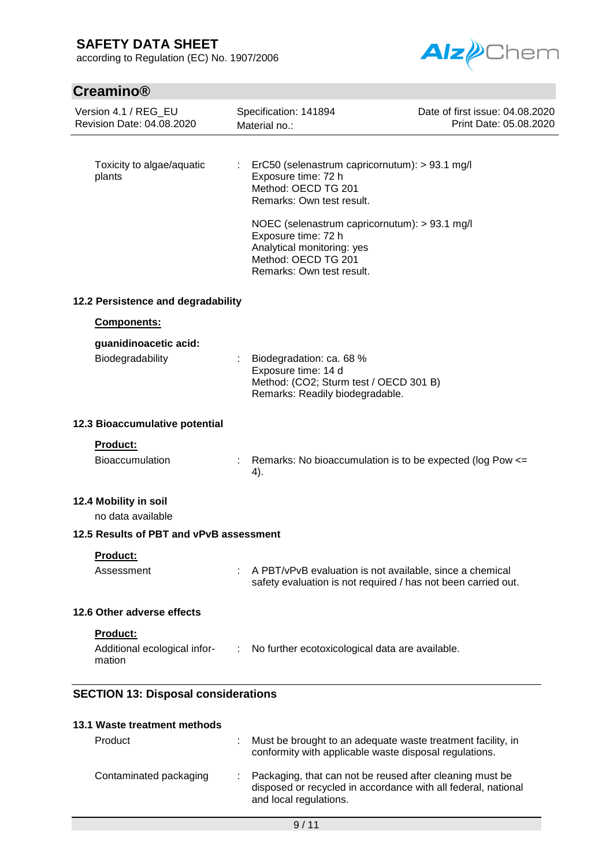according to Regulation (EC) No. 1907/2006



# **Creamino®**

| <b>UI GUILILIU</b>                                 |                                                                                                                                                                                                                                                        |                                                           |  |
|----------------------------------------------------|--------------------------------------------------------------------------------------------------------------------------------------------------------------------------------------------------------------------------------------------------------|-----------------------------------------------------------|--|
| Version 4.1 / REG_EU<br>Revision Date: 04.08.2020  | Specification: 141894<br>Material no.:                                                                                                                                                                                                                 | Date of first issue: 04.08.2020<br>Print Date: 05.08.2020 |  |
| Toxicity to algae/aquatic<br>plants                | ErC50 (selenastrum capricornutum): > 93.1 mg/l<br>Exposure time: 72 h<br>Method: OECD TG 201<br>Remarks: Own test result.<br>NOEC (selenastrum capricornutum): > 93.1 mg/l<br>Exposure time: 72 h<br>Analytical monitoring: yes<br>Method: OECD TG 201 |                                                           |  |
| 12.2 Persistence and degradability                 | Remarks: Own test result.                                                                                                                                                                                                                              |                                                           |  |
| Components:                                        |                                                                                                                                                                                                                                                        |                                                           |  |
| guanidinoacetic acid:<br>Biodegradability          | Biodegradation: ca. 68 %<br>Exposure time: 14 d<br>Method: (CO2; Sturm test / OECD 301 B)<br>Remarks: Readily biodegradable.                                                                                                                           |                                                           |  |
| 12.3 Bioaccumulative potential                     |                                                                                                                                                                                                                                                        |                                                           |  |
| <b>Product:</b><br><b>Bioaccumulation</b>          | Remarks: No bioaccumulation is to be expected (log Pow <=<br>4).                                                                                                                                                                                       |                                                           |  |
| 12.4 Mobility in soil<br>no data available         |                                                                                                                                                                                                                                                        |                                                           |  |
| 12.5 Results of PBT and vPvB assessment            |                                                                                                                                                                                                                                                        |                                                           |  |
| Product:<br>Assessment                             | A PBT/vPvB evaluation is not available, since a chemical<br>safety evaluation is not required / has not been carried out.                                                                                                                              |                                                           |  |
| 12.6 Other adverse effects                         |                                                                                                                                                                                                                                                        |                                                           |  |
| Product:<br>Additional ecological infor-<br>mation | : No further ecotoxicological data are available.                                                                                                                                                                                                      |                                                           |  |
| <b>SECTION 13: Disposal considerations</b>         |                                                                                                                                                                                                                                                        |                                                           |  |
| 13.1 Waste treatment methods                       |                                                                                                                                                                                                                                                        |                                                           |  |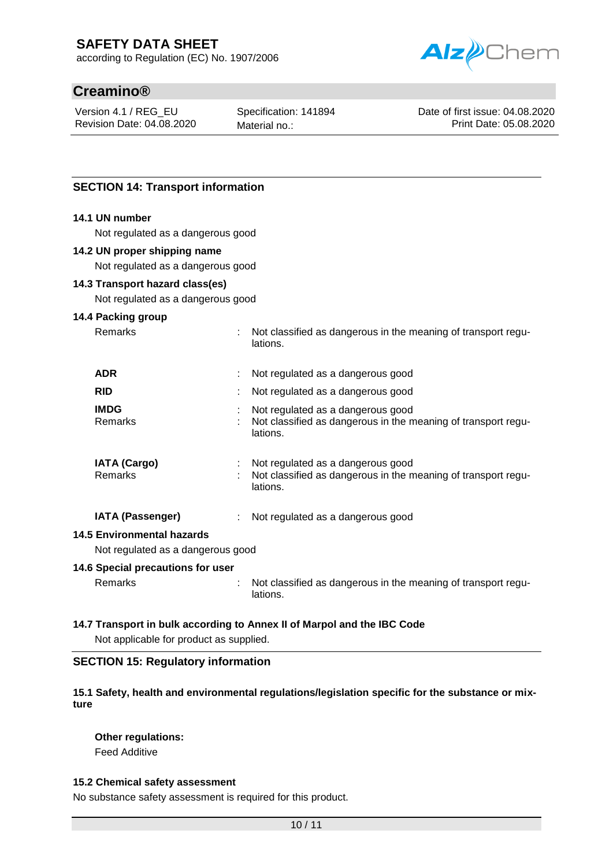according to Regulation (EC) No. 1907/2006



# **Creamino®**

Version 4.1 / REG\_EU Revision Date: 04.08.2020 Specification: 141894 Material no.:

Date of first issue: 04.08.2020 Print Date: 05.08.2020

### **SECTION 14: Transport information**

### **14.1 UN number**

Not regulated as a dangerous good

#### **14.2 UN proper shipping name**

Not regulated as a dangerous good

### **14.3 Transport hazard class(es)**

Not regulated as a dangerous good

#### **14.4 Packing group**

| <b>Remarks</b>                        | Not classified as dangerous in the meaning of transport regu-<br>lations.                                      |
|---------------------------------------|----------------------------------------------------------------------------------------------------------------|
| <b>ADR</b>                            | Not regulated as a dangerous good                                                                              |
| <b>RID</b>                            | Not regulated as a dangerous good                                                                              |
| <b>IMDG</b><br>Remarks                | Not regulated as a dangerous good<br>Not classified as dangerous in the meaning of transport regu-<br>lations. |
| <b>IATA (Cargo)</b><br><b>Remarks</b> | Not regulated as a dangerous good<br>Not classified as dangerous in the meaning of transport regu-<br>lations. |
| <b>IATA (Passenger)</b>               | Not regulated as a dangerous good                                                                              |

#### **14.5 Environmental hazards**

Not regulated as a dangerous good

### **14.6 Special precautions for user**

Remarks : Not classified as dangerous in the meaning of transport regulations.

### **14.7 Transport in bulk according to Annex II of Marpol and the IBC Code**

Not applicable for product as supplied.

### **SECTION 15: Regulatory information**

### **15.1 Safety, health and environmental regulations/legislation specific for the substance or mixture**

### **Other regulations:**

Feed Additive

### **15.2 Chemical safety assessment**

No substance safety assessment is required for this product.